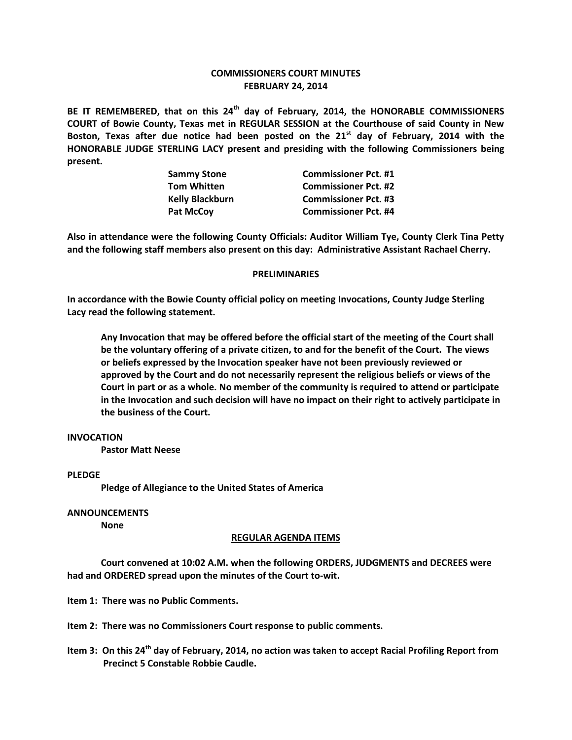# **COMMISSIONERS COURT MINUTES FEBRUARY 24, 2014**

**BE IT REMEMBERED, that on this 24th day of February, 2014, the HONORABLE COMMISSIONERS COURT of Bowie County, Texas met in REGULAR SESSION at the Courthouse of said County in New Boston, Texas after due notice had been posted on the 21st day of February, 2014 with the HONORABLE JUDGE STERLING LACY present and presiding with the following Commissioners being present.**

| <b>Sammy Stone</b> | <b>Commissioner Pct. #1</b> |
|--------------------|-----------------------------|
| <b>Tom Whitten</b> | <b>Commissioner Pct. #2</b> |
| Kelly Blackburn    | <b>Commissioner Pct. #3</b> |
| <b>Pat McCov</b>   | <b>Commissioner Pct. #4</b> |

**Also in attendance were the following County Officials: Auditor William Tye, County Clerk Tina Petty and the following staff members also present on this day: Administrative Assistant Rachael Cherry.**

### **PRELIMINARIES**

**In accordance with the Bowie County official policy on meeting Invocations, County Judge Sterling Lacy read the following statement.**

**Any Invocation that may be offered before the official start of the meeting of the Court shall be the voluntary offering of a private citizen, to and for the benefit of the Court. The views or beliefs expressed by the Invocation speaker have not been previously reviewed or approved by the Court and do not necessarily represent the religious beliefs or views of the Court in part or as a whole. No member of the community is required to attend or participate in the Invocation and such decision will have no impact on their right to actively participate in the business of the Court.**

## **INVOCATION**

**Pastor Matt Neese**

### **PLEDGE**

**Pledge of Allegiance to the United States of America**

**ANNOUNCEMENTS**

**None**

### **REGULAR AGENDA ITEMS**

**Court convened at 10:02 A.M. when the following ORDERS, JUDGMENTS and DECREES were had and ORDERED spread upon the minutes of the Court to-wit.**

**Item 1: There was no Public Comments.**

**Item 2: There was no Commissioners Court response to public comments.**

**Item 3: On this 24th day of February, 2014, no action was taken to accept Racial Profiling Report from Precinct 5 Constable Robbie Caudle.**